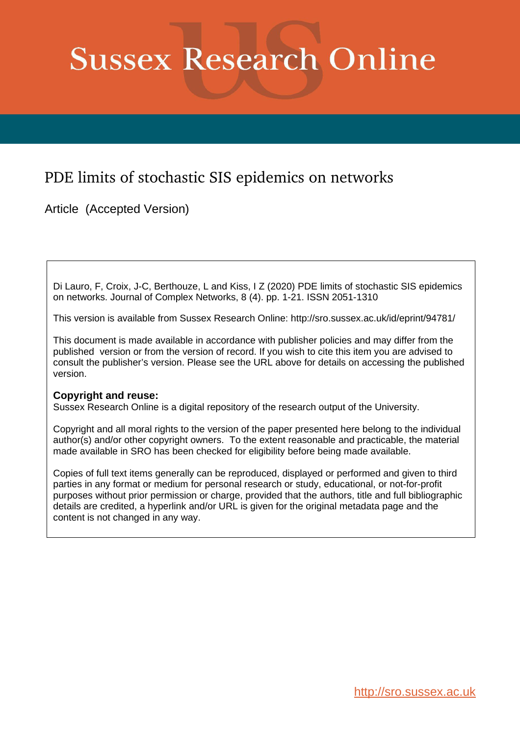# **Sussex Research Online**

# PDE limits of stochastic SIS epidemics on networks

Article (Accepted Version)

Di Lauro, F, Croix, J-C, Berthouze, L and Kiss, I Z (2020) PDE limits of stochastic SIS epidemics on networks. Journal of Complex Networks, 8 (4). pp. 1-21. ISSN 2051-1310

This version is available from Sussex Research Online: http://sro.sussex.ac.uk/id/eprint/94781/

This document is made available in accordance with publisher policies and may differ from the published version or from the version of record. If you wish to cite this item you are advised to consult the publisher's version. Please see the URL above for details on accessing the published version.

## **Copyright and reuse:**

Sussex Research Online is a digital repository of the research output of the University.

Copyright and all moral rights to the version of the paper presented here belong to the individual author(s) and/or other copyright owners. To the extent reasonable and practicable, the material made available in SRO has been checked for eligibility before being made available.

Copies of full text items generally can be reproduced, displayed or performed and given to third parties in any format or medium for personal research or study, educational, or not-for-profit purposes without prior permission or charge, provided that the authors, title and full bibliographic details are credited, a hyperlink and/or URL is given for the original metadata page and the content is not changed in any way.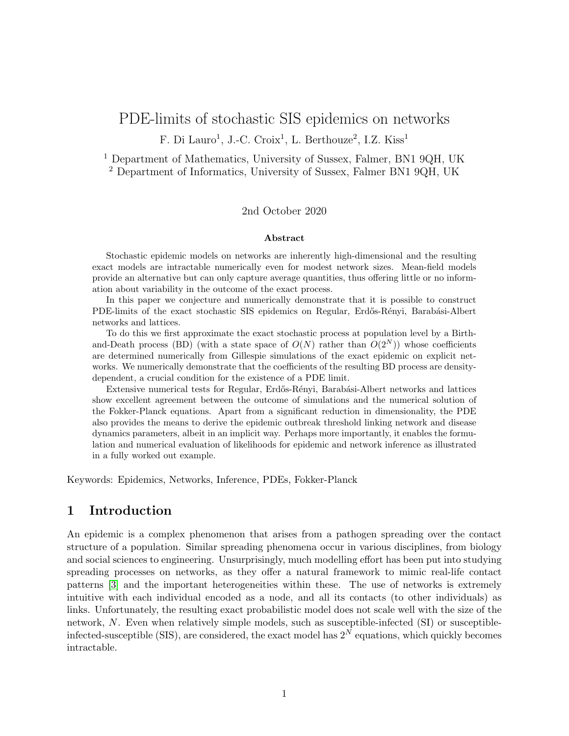# PDE-limits of stochastic SIS epidemics on networks

F. Di Lauro<sup>1</sup>, J.-C. Croix<sup>1</sup>, L. Berthouze<sup>2</sup>, I.Z. Kiss<sup>1</sup>

<sup>1</sup> Department of Mathematics, University of Sussex, Falmer, BN1 9QH, UK <sup>2</sup> Department of Informatics, University of Sussex, Falmer BN1 9QH, UK

#### 2nd October 2020

#### Abstract

Stochastic epidemic models on networks are inherently high-dimensional and the resulting exact models are intractable numerically even for modest network sizes. Mean-field models provide an alternative but can only capture average quantities, thus offering little or no information about variability in the outcome of the exact process.

In this paper we conjecture and numerically demonstrate that it is possible to construct PDE-limits of the exact stochastic SIS epidemics on Regular, Erdős-Rényi, Barabási-Albert networks and lattices.

To do this we first approximate the exact stochastic process at population level by a Birthand-Death process (BD) (with a state space of  $O(N)$  rather than  $O(2^N)$ ) whose coefficients are determined numerically from Gillespie simulations of the exact epidemic on explicit networks. We numerically demonstrate that the coefficients of the resulting BD process are densitydependent, a crucial condition for the existence of a PDE limit.

Extensive numerical tests for Regular, Erd˝os-R´enyi, Barab´asi-Albert networks and lattices show excellent agreement between the outcome of simulations and the numerical solution of the Fokker-Planck equations. Apart from a significant reduction in dimensionality, the PDE also provides the means to derive the epidemic outbreak threshold linking network and disease dynamics parameters, albeit in an implicit way. Perhaps more importantly, it enables the formulation and numerical evaluation of likelihoods for epidemic and network inference as illustrated in a fully worked out example.

Keywords: Epidemics, Networks, Inference, PDEs, Fokker-Planck

### 1 Introduction

An epidemic is a complex phenomenon that arises from a pathogen spreading over the contact structure of a population. Similar spreading phenomena occur in various disciplines, from biology and social sciences to engineering. Unsurprisingly, much modelling effort has been put into studying spreading processes on networks, as they offer a natural framework to mimic real-life contact patterns [\[3\]](#page-19-0) and the important heterogeneities within these. The use of networks is extremely intuitive with each individual encoded as a node, and all its contacts (to other individuals) as links. Unfortunately, the resulting exact probabilistic model does not scale well with the size of the network, N. Even when relatively simple models, such as susceptible-infected (SI) or susceptibleinfected-susceptible (SIS), are considered, the exact model has  $2^N$  equations, which quickly becomes intractable.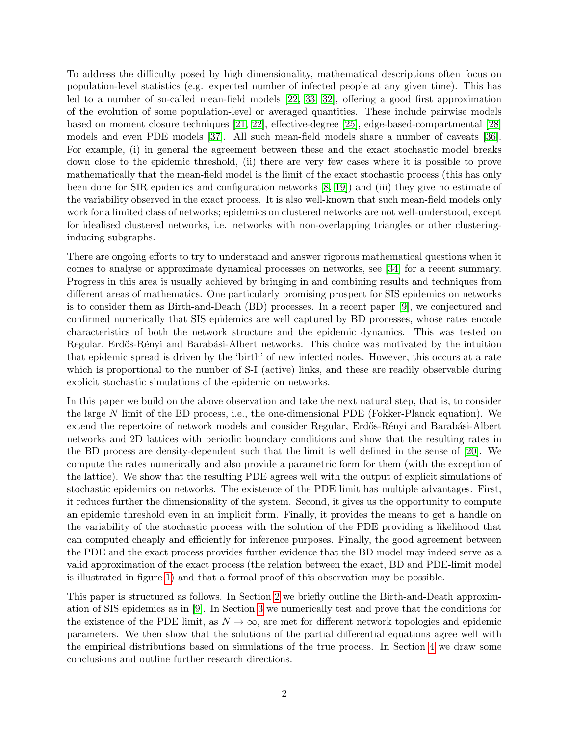To address the difficulty posed by high dimensionality, mathematical descriptions often focus on population-level statistics (e.g. expected number of infected people at any given time). This has led to a number of so-called mean-field models [\[22,](#page-20-0) [33,](#page-20-1) [32\]](#page-20-2), offering a good first approximation of the evolution of some population-level or averaged quantities. These include pairwise models based on moment closure techniques [\[21,](#page-20-3) [22\]](#page-20-0), effective-degree [\[25\]](#page-20-4), edge-based-compartmental [\[28\]](#page-20-5) models and even PDE models [\[37\]](#page-21-0). All such mean-field models share a number of caveats [\[36\]](#page-21-1). For example, (i) in general the agreement between these and the exact stochastic model breaks down close to the epidemic threshold, (ii) there are very few cases where it is possible to prove mathematically that the mean-field model is the limit of the exact stochastic process (this has only been done for SIR epidemics and configuration networks [\[8,](#page-19-1) [19\]](#page-20-6)) and (iii) they give no estimate of the variability observed in the exact process. It is also well-known that such mean-field models only work for a limited class of networks; epidemics on clustered networks are not well-understood, except for idealised clustered networks, i.e. networks with non-overlapping triangles or other clusteringinducing subgraphs.

There are ongoing efforts to try to understand and answer rigorous mathematical questions when it comes to analyse or approximate dynamical processes on networks, see [\[34\]](#page-20-7) for a recent summary. Progress in this area is usually achieved by bringing in and combining results and techniques from different areas of mathematics. One particularly promising prospect for SIS epidemics on networks is to consider them as Birth-and-Death (BD) processes. In a recent paper [\[9\]](#page-19-2), we conjectured and confirmed numerically that SIS epidemics are well captured by BD processes, whose rates encode characteristics of both the network structure and the epidemic dynamics. This was tested on Regular, Erdős-Rényi and Barabási-Albert networks. This choice was motivated by the intuition that epidemic spread is driven by the 'birth' of new infected nodes. However, this occurs at a rate which is proportional to the number of S-I (active) links, and these are readily observable during explicit stochastic simulations of the epidemic on networks.

In this paper we build on the above observation and take the next natural step, that is, to consider the large  $N$  limit of the BD process, i.e., the one-dimensional PDE (Fokker-Planck equation). We extend the repertoire of network models and consider Regular, Erdős-Rényi and Barabási-Albert networks and 2D lattices with periodic boundary conditions and show that the resulting rates in the BD process are density-dependent such that the limit is well defined in the sense of [\[20\]](#page-20-8). We compute the rates numerically and also provide a parametric form for them (with the exception of the lattice). We show that the resulting PDE agrees well with the output of explicit simulations of stochastic epidemics on networks. The existence of the PDE limit has multiple advantages. First, it reduces further the dimensionality of the system. Second, it gives us the opportunity to compute an epidemic threshold even in an implicit form. Finally, it provides the means to get a handle on the variability of the stochastic process with the solution of the PDE providing a likelihood that can computed cheaply and efficiently for inference purposes. Finally, the good agreement between the PDE and the exact process provides further evidence that the BD model may indeed serve as a valid approximation of the exact process (the relation between the exact, BD and PDE-limit model is illustrated in figure [1\)](#page-3-0) and that a formal proof of this observation may be possible.

This paper is structured as follows. In Section [2](#page-3-1) we briefly outline the Birth-and-Death approximation of SIS epidemics as in [\[9\]](#page-19-2). In Section [3](#page-5-0) we numerically test and prove that the conditions for the existence of the PDE limit, as  $N \to \infty$ , are met for different network topologies and epidemic parameters. We then show that the solutions of the partial differential equations agree well with the empirical distributions based on simulations of the true process. In Section [4](#page-14-0) we draw some conclusions and outline further research directions.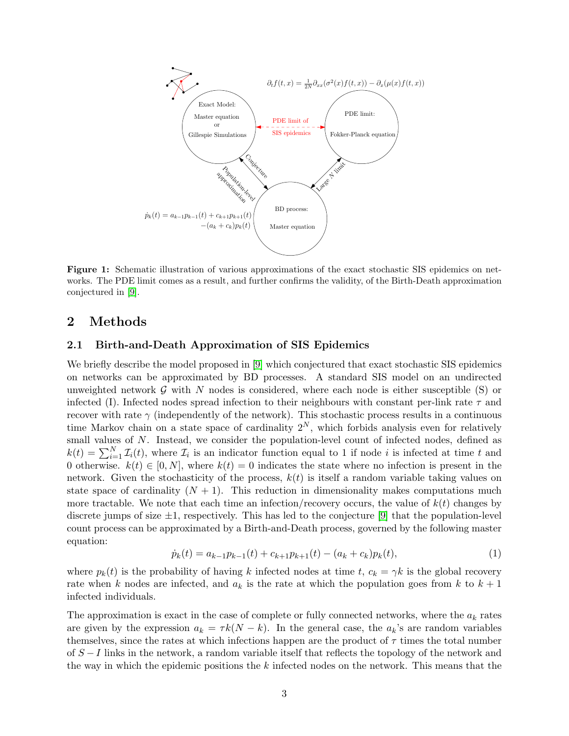<span id="page-3-0"></span>

Figure 1: Schematic illustration of various approximations of the exact stochastic SIS epidemics on networks. The PDE limit comes as a result, and further confirms the validity, of the Birth-Death approximation conjectured in [\[9\]](#page-19-2).

#### <span id="page-3-1"></span>2 Methods

#### 2.1 Birth-and-Death Approximation of SIS Epidemics

We briefly describe the model proposed in [\[9\]](#page-19-2) which conjectured that exact stochastic SIS epidemics on networks can be approximated by BD processes. A standard SIS model on an undirected unweighted network  $\mathcal G$  with N nodes is considered, where each node is either susceptible (S) or infected (I). Infected nodes spread infection to their neighbours with constant per-link rate  $\tau$  and recover with rate  $\gamma$  (independently of the network). This stochastic process results in a continuous time Markov chain on a state space of cardinality  $2^N$ , which forbids analysis even for relatively small values of N. Instead, we consider the population-level count of infected nodes, defined as  $k(t) = \sum_{i=1}^{N} \mathcal{I}_i(t)$ , where  $\mathcal{I}_i$  is an indicator function equal to 1 if node *i* is infected at time *t* and 0 otherwise.  $k(t) \in [0, N]$ , where  $k(t) = 0$  indicates the state where no infection is present in the network. Given the stochasticity of the process,  $k(t)$  is itself a random variable taking values on state space of cardinality  $(N + 1)$ . This reduction in dimensionality makes computations much more tractable. We note that each time an infection/recovery occurs, the value of  $k(t)$  changes by discrete jumps of size  $\pm 1$ , respectively. This has led to the conjecture [\[9\]](#page-19-2) that the population-level count process can be approximated by a Birth-and-Death process, governed by the following master equation:

<span id="page-3-2"></span>
$$
\dot{p}_k(t) = a_{k-1}p_{k-1}(t) + c_{k+1}p_{k+1}(t) - (a_k + c_k)p_k(t),\tag{1}
$$

where  $p_k(t)$  is the probability of having k infected nodes at time t,  $c_k = \gamma k$  is the global recovery rate when k nodes are infected, and  $a_k$  is the rate at which the population goes from k to  $k + 1$ infected individuals.

The approximation is exact in the case of complete or fully connected networks, where the  $a_k$  rates are given by the expression  $a_k = \tau k(N - k)$ . In the general case, the  $a_k$ 's are random variables themselves, since the rates at which infections happen are the product of  $\tau$  times the total number of S − I links in the network, a random variable itself that reflects the topology of the network and the way in which the epidemic positions the  $k$  infected nodes on the network. This means that the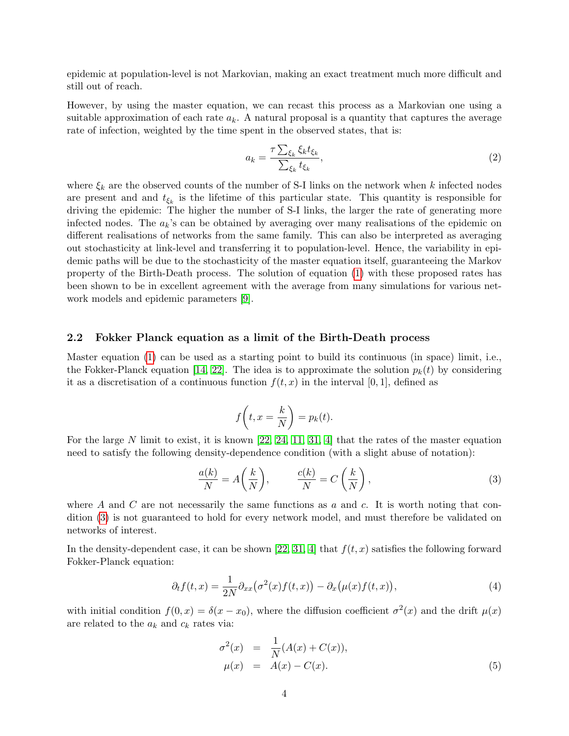epidemic at population-level is not Markovian, making an exact treatment much more difficult and still out of reach.

However, by using the master equation, we can recast this process as a Markovian one using a suitable approximation of each rate  $a_k$ . A natural proposal is a quantity that captures the average rate of infection, weighted by the time spent in the observed states, that is:

<span id="page-4-2"></span>
$$
a_k = \frac{\tau \sum_{\xi_k} \xi_k t_{\xi_k}}{\sum_{\xi_k} t_{\xi_k}},\tag{2}
$$

where  $\xi_k$  are the observed counts of the number of S-I links on the network when k infected nodes are present and and  $t_{\xi_k}$  is the lifetime of this particular state. This quantity is responsible for driving the epidemic: The higher the number of S-I links, the larger the rate of generating more infected nodes. The  $a_k$ 's can be obtained by averaging over many realisations of the epidemic on different realisations of networks from the same family. This can also be interpreted as averaging out stochasticity at link-level and transferring it to population-level. Hence, the variability in epidemic paths will be due to the stochasticity of the master equation itself, guaranteeing the Markov property of the Birth-Death process. The solution of equation [\(1\)](#page-3-2) with these proposed rates has been shown to be in excellent agreement with the average from many simulations for various network models and epidemic parameters [\[9\]](#page-19-2).

#### 2.2 Fokker Planck equation as a limit of the Birth-Death process

Master equation [\(1\)](#page-3-2) can be used as a starting point to build its continuous (in space) limit, i.e., the Fokker-Planck equation [\[14,](#page-19-3) [22\]](#page-20-0). The idea is to approximate the solution  $p_k(t)$  by considering it as a discretisation of a continuous function  $f(t, x)$  in the interval [0, 1], defined as

$$
f\left(t, x = \frac{k}{N}\right) = p_k(t).
$$

For the large N limit to exist, it is known  $[22, 24, 11, 31, 4]$  $[22, 24, 11, 31, 4]$  $[22, 24, 11, 31, 4]$  $[22, 24, 11, 31, 4]$  $[22, 24, 11, 31, 4]$  that the rates of the master equation need to satisfy the following density-dependence condition (with a slight abuse of notation):

<span id="page-4-0"></span>
$$
\frac{a(k)}{N} = A\left(\frac{k}{N}\right), \qquad \frac{c(k)}{N} = C\left(\frac{k}{N}\right),\tag{3}
$$

where A and C are not necessarily the same functions as  $a$  and  $c$ . It is worth noting that condition [\(3\)](#page-4-0) is not guaranteed to hold for every network model, and must therefore be validated on networks of interest.

In the density-dependent case, it can be shown [\[22,](#page-20-0) [31,](#page-20-10) [4\]](#page-19-5) that  $f(t, x)$  satisfies the following forward Fokker-Planck equation:

<span id="page-4-1"></span>
$$
\partial_t f(t,x) = \frac{1}{2N} \partial_{xx} (\sigma^2(x) f(t,x)) - \partial_x (\mu(x) f(t,x)), \tag{4}
$$

with initial condition  $f(0, x) = \delta(x - x_0)$ , where the diffusion coefficient  $\sigma^2(x)$  and the drift  $\mu(x)$ are related to the  $a_k$  and  $c_k$  rates via:

$$
\sigma^{2}(x) = \frac{1}{N}(A(x) + C(x)), \n\mu(x) = A(x) - C(x).
$$
\n(5)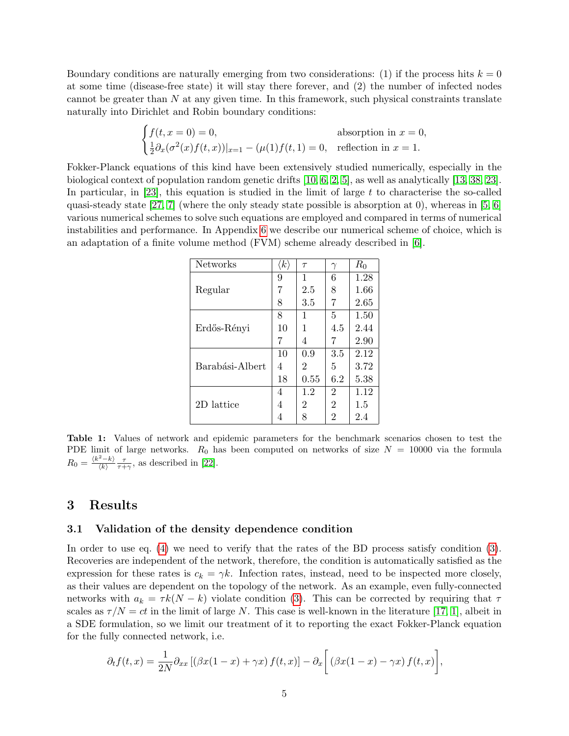Boundary conditions are naturally emerging from two considerations: (1) if the process hits  $k = 0$ at some time (disease-free state) it will stay there forever, and (2) the number of infected nodes cannot be greater than  $N$  at any given time. In this framework, such physical constraints translate naturally into Dirichlet and Robin boundary conditions:

$$
\begin{cases} f(t, x = 0) = 0, & \text{absorption in } x = 0, \\ \frac{1}{2} \partial_x (\sigma^2(x) f(t, x))|_{x=1} - (\mu(1) f(t, 1) = 0, & \text{reflection in } x = 1. \end{cases}
$$

<span id="page-5-1"></span>Fokker-Planck equations of this kind have been extensively studied numerically, especially in the biological context of population random genetic drifts [\[10,](#page-19-6) [6,](#page-19-7) [2,](#page-19-8) [5\]](#page-19-9), as well as analytically [\[13,](#page-19-10) [38,](#page-21-2) [23\]](#page-20-11). In particular, in  $[23]$ , this equation is studied in the limit of large t to characterise the so-called quasi-steady state [\[27,](#page-20-12) [7\]](#page-19-11) (where the only steady state possible is absorption at 0), whereas in [\[5,](#page-19-9) [6\]](#page-19-7) various numerical schemes to solve such equations are employed and compared in terms of numerical instabilities and performance. In Appendix [6](#page-16-0) we describe our numerical scheme of choice, which is an adaptation of a finite volume method (FVM) scheme already described in [\[6\]](#page-19-7).

| <b>Networks</b> | $\langle k \rangle$ | $\tau$ |                | $R_0$ |
|-----------------|---------------------|--------|----------------|-------|
| Regular         | 9                   | 1      | 6              | 1.28  |
|                 | 7                   | 2.5    | 8              | 1.66  |
|                 | 8                   | 3.5    | 7              | 2.65  |
| Erdős-Rényi     | 8                   | 1      | 5              | 1.50  |
|                 | 10                  | 1      | 4.5            | 2.44  |
|                 | 7                   | 4      | 7              | 2.90  |
| Barabási-Albert | 10                  | 0.9    | 3.5            | 2.12  |
|                 | 4                   | 2      | 5              | 3.72  |
|                 | 18                  | 0.55   | 6.2            | 5.38  |
| 2D lattice      | 4                   | 1.2    | $\overline{2}$ | 1.12  |
|                 | 4                   | 2      | $\overline{2}$ | 1.5   |
|                 | 4                   | 8      | 2              | 2.4   |

Table 1: Values of network and epidemic parameters for the benchmark scenarios chosen to test the PDE limit of large networks.  $R_0$  has been computed on networks of size  $N = 10000$  via the formula  $R_0=\frac{\langle k^2-k\rangle}{\langle k\rangle}$  $\frac{z-k}{\langle k \rangle} \frac{\tau}{\tau + \gamma}$ , as described in [\[22\]](#page-20-0).

#### <span id="page-5-0"></span>3 Results

#### 3.1 Validation of the density dependence condition

In order to use eq. [\(4\)](#page-4-1) we need to verify that the rates of the BD process satisfy condition [\(3\)](#page-4-0). Recoveries are independent of the network, therefore, the condition is automatically satisfied as the expression for these rates is  $c_k = \gamma k$ . Infection rates, instead, need to be inspected more closely, as their values are dependent on the topology of the network. As an example, even fully-connected networks with  $a_k = \tau k(N - k)$  violate condition [\(3\)](#page-4-0). This can be corrected by requiring that  $\tau$ scales as  $\tau/N = ct$  in the limit of large N. This case is well-known in the literature [\[17,](#page-20-13) [1\]](#page-19-12), albeit in a SDE formulation, so we limit our treatment of it to reporting the exact Fokker-Planck equation for the fully connected network, i.e.

$$
\partial_t f(t,x) = \frac{1}{2N} \partial_{xx} \left[ \left( \beta x(1-x) + \gamma x \right) f(t,x) \right] - \partial_x \left[ \left( \beta x(1-x) - \gamma x \right) f(t,x) \right],
$$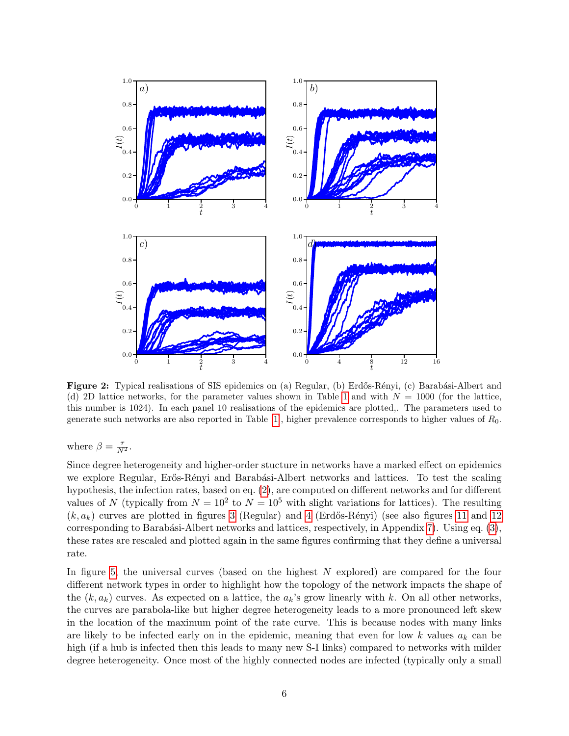<span id="page-6-0"></span>

Figure 2: Typical realisations of SIS epidemics on (a) Regular, (b) Erdős-Rényi, (c) Barabási-Albert and (d) 2D lattice networks, for the parameter values shown in Table [1](#page-5-1) and with  $N = 1000$  (for the lattice, this number is 1024). In each panel 10 realisations of the epidemics are plotted,. The parameters used to generate such networks are also reported in Table [\[1\]](#page-5-1), higher prevalence corresponds to higher values of  $R_0$ .

where  $\beta = \frac{\tau}{N^2}$ .

Since degree heterogeneity and higher-order stucture in networks have a marked effect on epidemics we explore Regular, Erős-Rényi and Barabási-Albert networks and lattices. To test the scaling hypothesis, the infection rates, based on eq. [\(2\)](#page-4-2), are computed on different networks and for different values of N (typically from  $N = 10^2$  to  $N = 10^5$  with slight variations for lattices). The resulting  $(k, a_k)$  curves are plotted in figures [3](#page-7-0) (Regular) and [4](#page-8-0) (Erdős-Rényi) (see also figures [11](#page-18-0) and [12](#page-18-1) corresponding to Barabási-Albert networks and lattices, respectively, in Appendix [7\)](#page-18-2). Using eq.  $(3)$ , these rates are rescaled and plotted again in the same figures confirming that they define a universal rate.

In figure [5,](#page-8-1) the universal curves (based on the highest N explored) are compared for the four different network types in order to highlight how the topology of the network impacts the shape of the  $(k, a_k)$  curves. As expected on a lattice, the  $a_k$ 's grow linearly with k. On all other networks, the curves are parabola-like but higher degree heterogeneity leads to a more pronounced left skew in the location of the maximum point of the rate curve. This is because nodes with many links are likely to be infected early on in the epidemic, meaning that even for low k values  $a_k$  can be high (if a hub is infected then this leads to many new S-I links) compared to networks with milder degree heterogeneity. Once most of the highly connected nodes are infected (typically only a small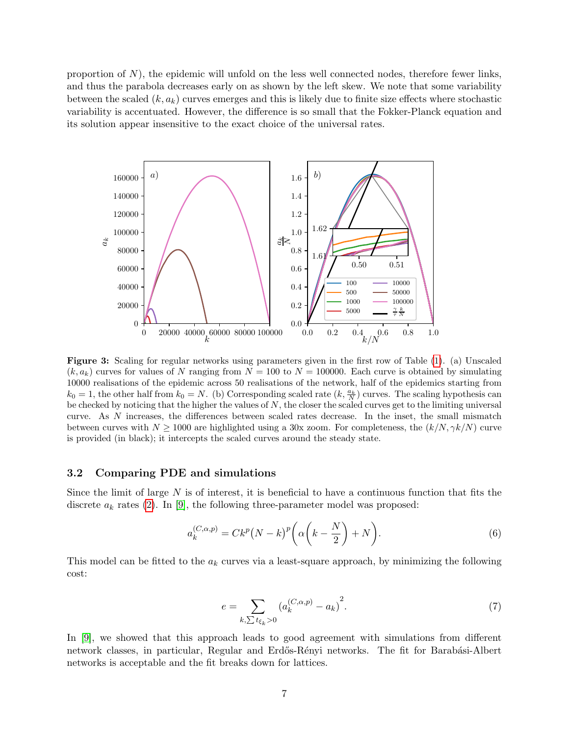proportion of  $N$ ), the epidemic will unfold on the less well connected nodes, therefore fewer links, and thus the parabola decreases early on as shown by the left skew. We note that some variability between the scaled  $(k, a_k)$  curves emerges and this is likely due to finite size effects where stochastic variability is accentuated. However, the difference is so small that the Fokker-Planck equation and its solution appear insensitive to the exact choice of the universal rates.

<span id="page-7-0"></span>

Figure 3: Scaling for regular networks using parameters given in the first row of Table [\(1\)](#page-5-1). (a) Unscaled  $(k, a_k)$  curves for values of N ranging from  $N = 100$  to  $N = 100000$ . Each curve is obtained by simulating 10000 realisations of the epidemic across 50 realisations of the network, half of the epidemics starting from  $k_0 = 1$ , the other half from  $k_0 = N$ . (b) Corresponding scaled rate  $(k, \frac{a_k}{N})$  curves. The scaling hypothesis can be checked by noticing that the higher the values of  $N$ , the closer the scaled curves get to the limiting universal curve. As N increases, the differences between scaled rates decrease. In the inset, the small mismatch between curves with  $N \ge 1000$  are highlighted using a 30x zoom. For completeness, the  $(k/N, \gamma k/N)$  curve is provided (in black); it intercepts the scaled curves around the steady state.

#### 3.2 Comparing PDE and simulations

Since the limit of large  $N$  is of interest, it is beneficial to have a continuous function that fits the discrete  $a_k$  rates [\(2\)](#page-4-2). In [\[9\]](#page-19-2), the following three-parameter model was proposed:

<span id="page-7-1"></span>
$$
a_k^{(C,\alpha,p)} = Ck^p \left(N-k\right)^p \left(\alpha \left(k-\frac{N}{2}\right)+N\right). \tag{6}
$$

This model can be fitted to the  $a_k$  curves via a least-square approach, by minimizing the following cost:

<span id="page-7-2"></span>
$$
e = \sum_{k,\sum t_{\xi_k} > 0} \left( a_k^{(C,\alpha,p)} - a_k \right)^2.
$$
 (7)

In [\[9\]](#page-19-2), we showed that this approach leads to good agreement with simulations from different network classes, in particular, Regular and Erdős-Rényi networks. The fit for Barabási-Albert networks is acceptable and the fit breaks down for lattices.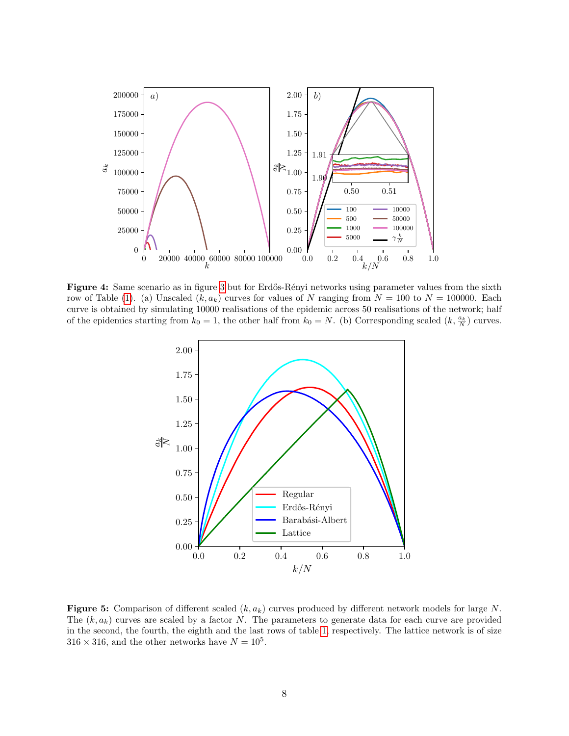<span id="page-8-0"></span>

<span id="page-8-1"></span>Figure 4: Same scenario as in figure [3](#page-7-0) but for Erdős-Rényi networks using parameter values from the sixth row of Table [\(1\)](#page-5-1). (a) Unscaled  $(k, a_k)$  curves for values of N ranging from  $N = 100$  to  $N = 100000$ . Each curve is obtained by simulating 10000 realisations of the epidemic across 50 realisations of the network; half of the epidemics starting from  $k_0 = 1$ , the other half from  $k_0 = N$ . (b) Corresponding scaled  $(k, \frac{a_k}{N})$  curves.



**Figure 5:** Comparison of different scaled  $(k, a_k)$  curves produced by different network models for large N. The  $(k, a_k)$  curves are scaled by a factor N. The parameters to generate data for each curve are provided in the second, the fourth, the eighth and the last rows of table [1,](#page-5-1) respectively. The lattice network is of size  $316 \times 316$ , and the other networks have  $N = 10^5$ .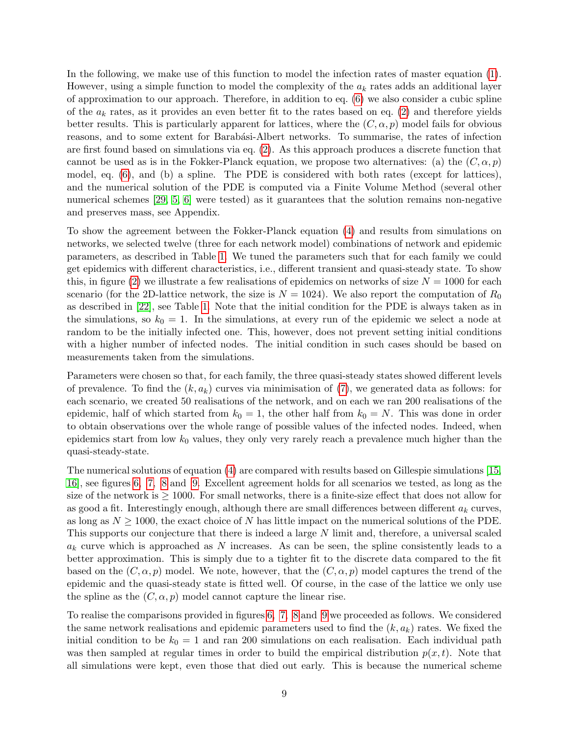In the following, we make use of this function to model the infection rates of master equation [\(1\)](#page-3-2). However, using a simple function to model the complexity of the  $a_k$  rates adds an additional layer of approximation to our approach. Therefore, in addition to eq. [\(6\)](#page-7-1) we also consider a cubic spline of the  $a_k$  rates, as it provides an even better fit to the rates based on eq. [\(2\)](#page-4-2) and therefore yields better results. This is particularly apparent for lattices, where the  $(C, \alpha, p)$  model fails for obvious reasons, and to some extent for Barabási-Albert networks. To summarise, the rates of infection are first found based on simulations via eq. [\(2\)](#page-4-2). As this approach produces a discrete function that cannot be used as is in the Fokker-Planck equation, we propose two alternatives: (a) the  $(C, \alpha, p)$ model, eq. [\(6\)](#page-7-1), and (b) a spline. The PDE is considered with both rates (except for lattices), and the numerical solution of the PDE is computed via a Finite Volume Method (several other numerical schemes [\[29,](#page-20-14) [5,](#page-19-9) [6\]](#page-19-7) were tested) as it guarantees that the solution remains non-negative and preserves mass, see Appendix.

To show the agreement between the Fokker-Planck equation [\(4\)](#page-4-1) and results from simulations on networks, we selected twelve (three for each network model) combinations of network and epidemic parameters, as described in Table [1.](#page-5-1) We tuned the parameters such that for each family we could get epidemics with different characteristics, i.e., different transient and quasi-steady state. To show this, in figure [\(2\)](#page-6-0) we illustrate a few realisations of epidemics on networks of size  $N = 1000$  for each scenario (for the 2D-lattice network, the size is  $N = 1024$ ). We also report the computation of  $R_0$ as described in [\[22\]](#page-20-0), see Table [1.](#page-5-1) Note that the initial condition for the PDE is always taken as in the simulations, so  $k_0 = 1$ . In the simulations, at every run of the epidemic we select a node at random to be the initially infected one. This, however, does not prevent setting initial conditions with a higher number of infected nodes. The initial condition in such cases should be based on measurements taken from the simulations.

Parameters were chosen so that, for each family, the three quasi-steady states showed different levels of prevalence. To find the  $(k, a_k)$  curves via minimisation of [\(7\)](#page-7-2), we generated data as follows: for each scenario, we created 50 realisations of the network, and on each we ran 200 realisations of the epidemic, half of which started from  $k_0 = 1$ , the other half from  $k_0 = N$ . This was done in order to obtain observations over the whole range of possible values of the infected nodes. Indeed, when epidemics start from low  $k_0$  values, they only very rarely reach a prevalence much higher than the quasi-steady-state.

The numerical solutions of equation [\(4\)](#page-4-1) are compared with results based on Gillespie simulations [\[15,](#page-19-13) [16\]](#page-19-14), see figures [6,](#page-10-0) [7,](#page-10-1) [8](#page-11-0) and [9.](#page-11-1) Excellent agreement holds for all scenarios we tested, as long as the size of the network is  $\geq 1000$ . For small networks, there is a finite-size effect that does not allow for as good a fit. Interestingly enough, although there are small differences between different  $a_k$  curves, as long as  $N \geq 1000$ , the exact choice of N has little impact on the numerical solutions of the PDE. This supports our conjecture that there is indeed a large N limit and, therefore, a universal scaled  $a_k$  curve which is approached as N increases. As can be seen, the spline consistently leads to a better approximation. This is simply due to a tighter fit to the discrete data compared to the fit based on the  $(C, \alpha, p)$  model. We note, however, that the  $(C, \alpha, p)$  model captures the trend of the epidemic and the quasi-steady state is fitted well. Of course, in the case of the lattice we only use the spline as the  $(C, \alpha, p)$  model cannot capture the linear rise.

To realise the comparisons provided in figures [6,](#page-10-0) [7,](#page-10-1) [8](#page-11-0) and [9](#page-11-1) we proceeded as follows. We considered the same network realisations and epidemic parameters used to find the  $(k, a_k)$  rates. We fixed the initial condition to be  $k_0 = 1$  and ran 200 simulations on each realisation. Each individual path was then sampled at regular times in order to build the empirical distribution  $p(x, t)$ . Note that all simulations were kept, even those that died out early. This is because the numerical scheme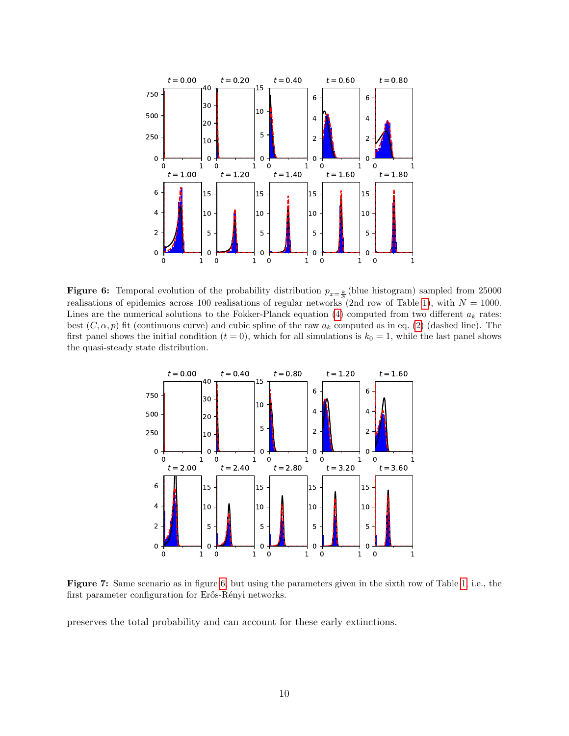<span id="page-10-0"></span>

**Figure 6:** Temporal evolution of the probability distribution  $p_{x=\frac{k}{N}}$  (blue histogram) sampled from 25000 realisations of epidemics across 100 realisations of regular networks (2nd row of Table [1\)](#page-5-1), with  $N = 1000$ . Lines are the numerical solutions to the Fokker-Planck equation [\(4\)](#page-4-1) computed from two different  $a_k$  rates: best  $(C, \alpha, p)$  fit (continuous curve) and cubic spline of the raw  $a_k$  computed as in eq. [\(2\)](#page-4-2) (dashed line). The first panel shows the initial condition  $(t = 0)$ , which for all simulations is  $k_0 = 1$ , while the last panel shows the quasi-steady state distribution.

<span id="page-10-1"></span>

Figure 7: Same scenario as in figure [6,](#page-10-0) but using the parameters given in the sixth row of Table [1,](#page-5-1) i.e., the first parameter configuration for Erős-Rényi networks.

preserves the total probability and can account for these early extinctions.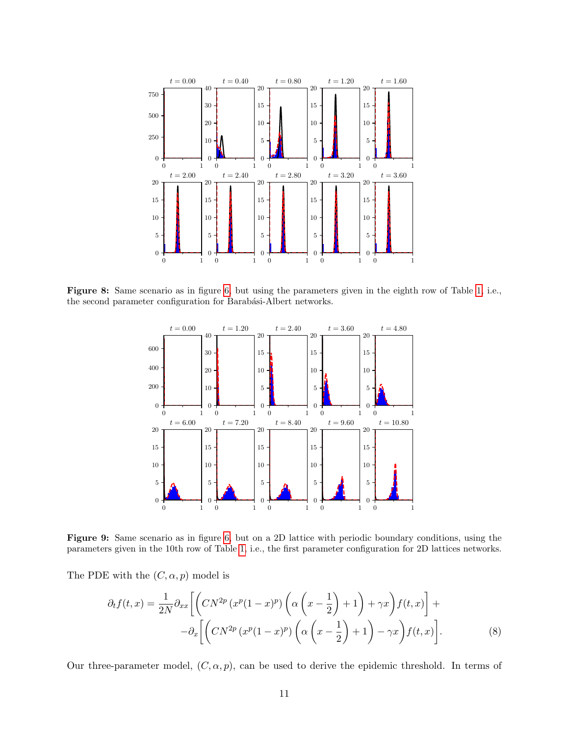<span id="page-11-0"></span>

<span id="page-11-1"></span>Figure 8: Same scenario as in figure [6,](#page-10-0) but using the parameters given in the eighth row of Table [1,](#page-5-1) i.e., the second parameter configuration for Barabási-Albert networks.



Figure 9: Same scenario as in figure [6,](#page-10-0) but on a 2D lattice with periodic boundary conditions, using the parameters given in the 10th row of Table [1,](#page-5-1) i.e., the first parameter configuration for 2D lattices networks.

The PDE with the  $(C, \alpha, p)$  model is

<span id="page-11-2"></span>
$$
\partial_t f(t,x) = \frac{1}{2N} \partial_{xx} \left[ \left( CN^{2p} \left( x^p (1-x)^p \right) \left( \alpha \left( x - \frac{1}{2} \right) + 1 \right) + \gamma x \right) f(t,x) \right] +
$$

$$
- \partial_x \left[ \left( CN^{2p} \left( x^p (1-x)^p \right) \left( \alpha \left( x - \frac{1}{2} \right) + 1 \right) - \gamma x \right) f(t,x) \right]. \tag{8}
$$

Our three-parameter model,  $(C, \alpha, p)$ , can be used to derive the epidemic threshold. In terms of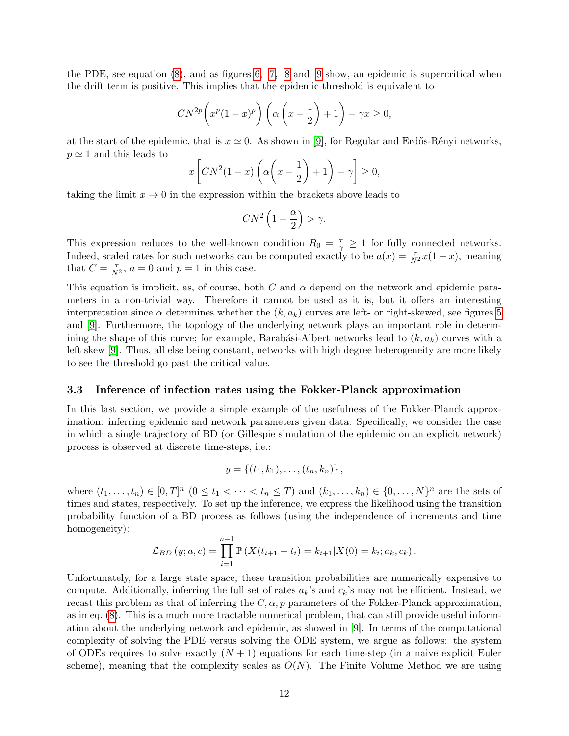the PDE, see equation [\(8\)](#page-11-2), and as figures [6,](#page-10-0) [7,](#page-10-1) [8](#page-11-0) and [9](#page-11-1) show, an epidemic is supercritical when the drift term is positive. This implies that the epidemic threshold is equivalent to

$$
CN^{2p}\left(x^p(1-x)^p\right)\left(\alpha\left(x-\frac{1}{2}\right)+1\right)-\gamma x\geq 0,
$$

at the start of the epidemic, that is  $x \approx 0$ . As shown in [\[9\]](#page-19-2), for Regular and Erdős-Rényi networks,  $p \simeq 1$  and this leads to

$$
x\left[CN^2(1-x)\left(\alpha\left(x-\frac{1}{2}\right)+1\right)-\gamma\right]\geq 0,
$$

taking the limit  $x \to 0$  in the expression within the brackets above leads to

$$
CN^2\left(1-\frac{\alpha}{2}\right) > \gamma.
$$

This expression reduces to the well-known condition  $R_0 = \frac{\tau}{\gamma} \geq 1$  for fully connected networks. Indeed, scaled rates for such networks can be computed exactly to be  $a(x) = \frac{\tau}{N^2}x(1-x)$ , meaning that  $C = \frac{\tau}{N^2}$ ,  $a = 0$  and  $p = 1$  in this case.

This equation is implicit, as, of course, both C and  $\alpha$  depend on the network and epidemic parameters in a non-trivial way. Therefore it cannot be used as it is, but it offers an interesting interpretation since  $\alpha$  determines whether the  $(k, a_k)$  curves are left- or right-skewed, see figures [5](#page-8-1) and [\[9\]](#page-19-2). Furthermore, the topology of the underlying network plays an important role in determining the shape of this curve; for example, Barabási-Albert networks lead to  $(k, a_k)$  curves with a left skew [\[9\]](#page-19-2). Thus, all else being constant, networks with high degree heterogeneity are more likely to see the threshold go past the critical value.

#### <span id="page-12-0"></span>3.3 Inference of infection rates using the Fokker-Planck approximation

In this last section, we provide a simple example of the usefulness of the Fokker-Planck approximation: inferring epidemic and network parameters given data. Specifically, we consider the case in which a single trajectory of BD (or Gillespie simulation of the epidemic on an explicit network) process is observed at discrete time-steps, i.e.:

$$
y = \{(t_1, k_1), \ldots, (t_n, k_n)\}\,
$$

where  $(t_1,...,t_n) \in [0,T]^n \ (0 \le t_1 < \cdots < t_n \le T)$  and  $(k_1,...,k_n) \in \{0,...,N\}^n$  are the sets of times and states, respectively. To set up the inference, we express the likelihood using the transition probability function of a BD process as follows (using the independence of increments and time homogeneity):

$$
\mathcal{L}_{BD}(y;a,c) = \prod_{i=1}^{n-1} \mathbb{P}\left(X(t_{i+1}-t_i) = k_{i+1} | X(0) = k_i; a_k, c_k\right).
$$

Unfortunately, for a large state space, these transition probabilities are numerically expensive to compute. Additionally, inferring the full set of rates  $a_k$ 's and  $c_k$ 's may not be efficient. Instead, we recast this problem as that of inferring the  $C, \alpha, p$  parameters of the Fokker-Planck approximation, as in eq. [\(8\)](#page-11-2). This is a much more tractable numerical problem, that can still provide useful information about the underlying network and epidemic, as showed in [\[9\]](#page-19-2). In terms of the computational complexity of solving the PDE versus solving the ODE system, we argue as follows: the system of ODEs requires to solve exactly  $(N + 1)$  equations for each time-step (in a naive explicit Euler scheme), meaning that the complexity scales as  $O(N)$ . The Finite Volume Method we are using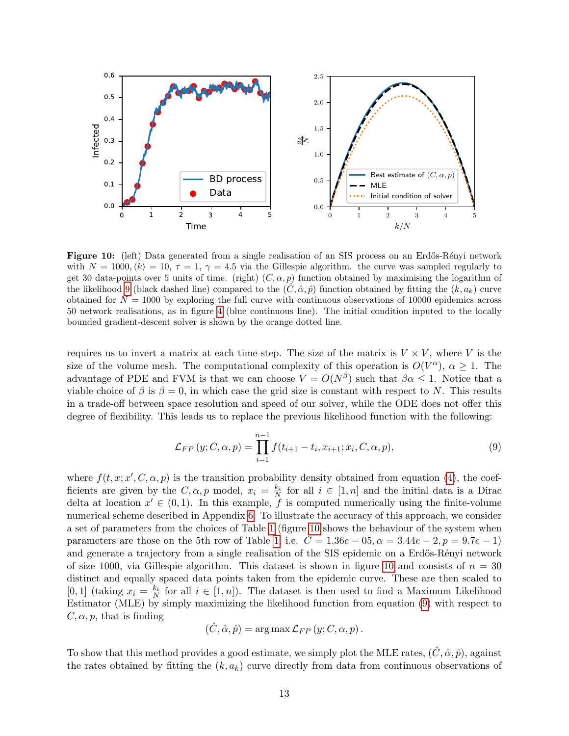<span id="page-13-1"></span>

Figure 10: (left) Data generated from a single realisation of an SIS process on an Erdős-Rényi network with  $N = 1000, \langle k \rangle = 10, \tau = 1, \gamma = 4.5$  via the Gillespie algorithm. the curve was sampled regularly to get 30 data-points over 5 units of time. (right)  $(C, \alpha, p)$  function obtained by maximising the logarithm of the likelihood [9](#page-13-0) (black dashed line) compared to the  $(C, \hat{\alpha}, \hat{p})$  function obtained by fitting the  $(k, a_k)$  curve obtained for  $N = 1000$  by exploring the full curve with continuous observations of 10000 epidemics across 50 network realisations, as in figure [4](#page-8-0) (blue continuous line). The initial condition inputed to the locally bounded gradient-descent solver is shown by the orange dotted line.

requires us to invert a matrix at each time-step. The size of the matrix is  $V \times V$ , where V is the size of the volume mesh. The computational complexity of this operation is  $O(V^{\alpha})$ ,  $\alpha \geq 1$ . The advantage of PDE and FVM is that we can choose  $V = O(N^{\beta})$  such that  $\beta \alpha \leq 1$ . Notice that a viable choice of  $\beta$  is  $\beta = 0$ , in which case the grid size is constant with respect to N. This results in a trade-off between space resolution and speed of our solver, while the ODE does not offer this degree of flexibility. This leads us to replace the previous likelihood function with the following:

<span id="page-13-0"></span>
$$
\mathcal{L}_{FP}(y; C, \alpha, p) = \prod_{i=1}^{n-1} f(t_{i+1} - t_i, x_{i+1}; x_i, C, \alpha, p), \tag{9}
$$

where  $f(t, x; x', C, \alpha, p)$  is the transition probability density obtained from equation [\(4\)](#page-4-1), the coefficients are given by the  $C, \alpha, p$  model,  $x_i = \frac{k_i}{N}$  for all  $i \in [1, n]$  and the initial data is a Dirac delta at location  $x' \in (0,1)$ . In this example, f is computed numerically using the finite-volume numerical scheme described in Appendix [6.](#page-16-0) To illustrate the accuracy of this approach, we consider a set of parameters from the choices of Table [1](#page-5-1) (figure [10](#page-13-1) shows the behaviour of the system when parameters are those on the 5th row of Table [1,](#page-5-1) i.e.  $C = 1.36e - 0.5$ ,  $\alpha = 3.44e - 2$ ,  $p = 9.7e - 1$ ) and generate a trajectory from a single realisation of the SIS epidemic on a Erdős-Rényi network of size [10](#page-13-1)00, via Gillespie algorithm. This dataset is shown in figure 10 and consists of  $n = 30$ distinct and equally spaced data points taken from the epidemic curve. These are then scaled to [0, 1] (taking  $x_i = \frac{k_i}{N}$  for all  $i \in [1, n]$ ). The dataset is then used to find a Maximum Likelihood Estimator (MLE) by simply maximizing the likelihood function from equation [\(9\)](#page-13-0) with respect to  $C, \alpha, p$ , that is finding

$$
(\hat{C}, \hat{\alpha}, \hat{p}) = \arg \max \mathcal{L}_{FP} (y; C, \alpha, p).
$$

To show that this method provides a good estimate, we simply plot the MLE rates,  $(\hat{C}, \hat{\alpha}, \hat{p})$ , against the rates obtained by fitting the  $(k, a_k)$  curve directly from data from continuous observations of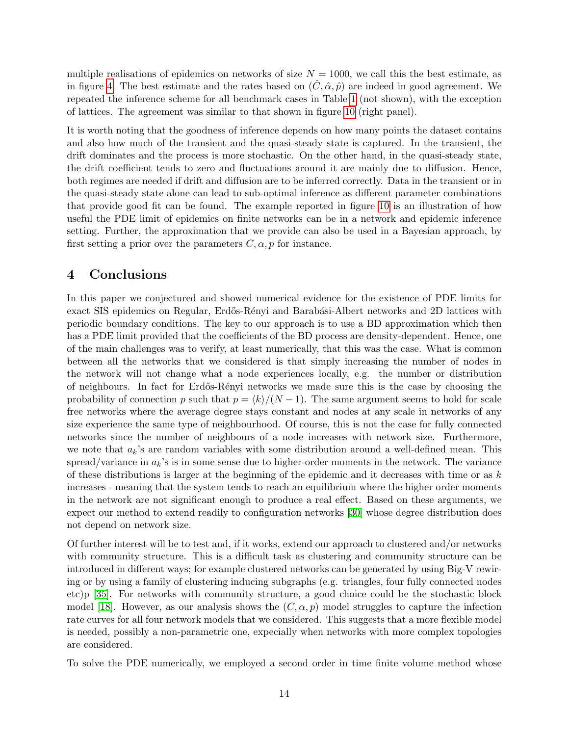multiple realisations of epidemics on networks of size  $N = 1000$ , we call this the best estimate, as in figure [4.](#page-8-0) The best estimate and the rates based on  $(\hat{C}, \hat{\alpha}, \hat{p})$  are indeed in good agreement. We repeated the inference scheme for all benchmark cases in Table [1](#page-5-1) (not shown), with the exception of lattices. The agreement was similar to that shown in figure [10](#page-13-1) (right panel).

It is worth noting that the goodness of inference depends on how many points the dataset contains and also how much of the transient and the quasi-steady state is captured. In the transient, the drift dominates and the process is more stochastic. On the other hand, in the quasi-steady state, the drift coefficient tends to zero and fluctuations around it are mainly due to diffusion. Hence, both regimes are needed if drift and diffusion are to be inferred correctly. Data in the transient or in the quasi-steady state alone can lead to sub-optimal inference as different parameter combinations that provide good fit can be found. The example reported in figure [10](#page-13-1) is an illustration of how useful the PDE limit of epidemics on finite networks can be in a network and epidemic inference setting. Further, the approximation that we provide can also be used in a Bayesian approach, by first setting a prior over the parameters  $C, \alpha, p$  for instance.

#### <span id="page-14-0"></span>4 Conclusions

In this paper we conjectured and showed numerical evidence for the existence of PDE limits for exact SIS epidemics on Regular, Erdős-Rényi and Barabási-Albert networks and 2D lattices with periodic boundary conditions. The key to our approach is to use a BD approximation which then has a PDE limit provided that the coefficients of the BD process are density-dependent. Hence, one of the main challenges was to verify, at least numerically, that this was the case. What is common between all the networks that we considered is that simply increasing the number of nodes in the network will not change what a node experiences locally, e.g. the number or distribution of neighbours. In fact for Erd˝os-R´enyi networks we made sure this is the case by choosing the probability of connection p such that  $p = \langle k \rangle/(N - 1)$ . The same argument seems to hold for scale free networks where the average degree stays constant and nodes at any scale in networks of any size experience the same type of neighbourhood. Of course, this is not the case for fully connected networks since the number of neighbours of a node increases with network size. Furthermore, we note that  $a_k$ 's are random variables with some distribution around a well-defined mean. This spread/variance in  $a_k$ 's is in some sense due to higher-order moments in the network. The variance of these distributions is larger at the beginning of the epidemic and it decreases with time or as  $k$ increases - meaning that the system tends to reach an equilibrium where the higher order moments in the network are not significant enough to produce a real effect. Based on these arguments, we expect our method to extend readily to configuration networks [\[30\]](#page-20-15) whose degree distribution does not depend on network size.

Of further interest will be to test and, if it works, extend our approach to clustered and/or networks with community structure. This is a difficult task as clustering and community structure can be introduced in different ways; for example clustered networks can be generated by using Big-V rewiring or by using a family of clustering inducing subgraphs (e.g. triangles, four fully connected nodes etc)p [\[35\]](#page-21-3). For networks with community structure, a good choice could be the stochastic block model [\[18\]](#page-20-16). However, as our analysis shows the  $(C, \alpha, p)$  model struggles to capture the infection rate curves for all four network models that we considered. This suggests that a more flexible model is needed, possibly a non-parametric one, expecially when networks with more complex topologies are considered.

To solve the PDE numerically, we employed a second order in time finite volume method whose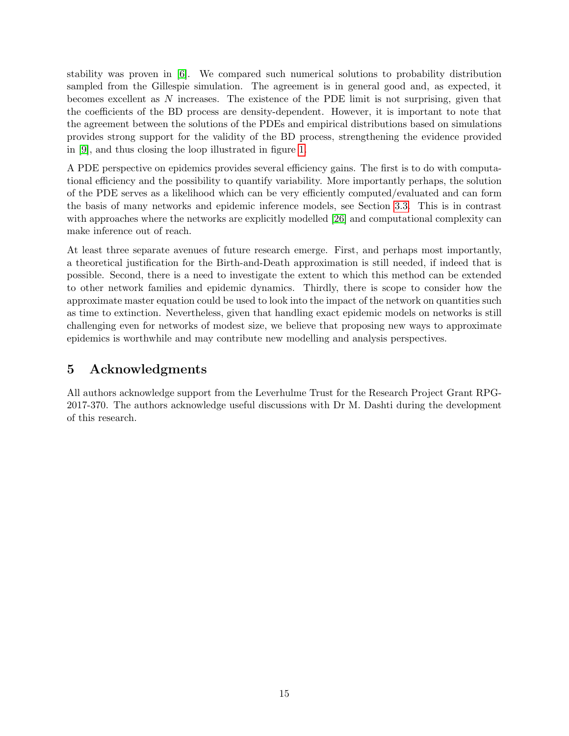stability was proven in [\[6\]](#page-19-7). We compared such numerical solutions to probability distribution sampled from the Gillespie simulation. The agreement is in general good and, as expected, it becomes excellent as N increases. The existence of the PDE limit is not surprising, given that the coefficients of the BD process are density-dependent. However, it is important to note that the agreement between the solutions of the PDEs and empirical distributions based on simulations provides strong support for the validity of the BD process, strengthening the evidence provided in [\[9\]](#page-19-2), and thus closing the loop illustrated in figure [1.](#page-3-0)

A PDE perspective on epidemics provides several efficiency gains. The first is to do with computational efficiency and the possibility to quantify variability. More importantly perhaps, the solution of the PDE serves as a likelihood which can be very efficiently computed/evaluated and can form the basis of many networks and epidemic inference models, see Section [3.3.](#page-12-0) This is in contrast with approaches where the networks are explicitly modelled [\[26\]](#page-20-17) and computational complexity can make inference out of reach.

At least three separate avenues of future research emerge. First, and perhaps most importantly, a theoretical justification for the Birth-and-Death approximation is still needed, if indeed that is possible. Second, there is a need to investigate the extent to which this method can be extended to other network families and epidemic dynamics. Thirdly, there is scope to consider how the approximate master equation could be used to look into the impact of the network on quantities such as time to extinction. Nevertheless, given that handling exact epidemic models on networks is still challenging even for networks of modest size, we believe that proposing new ways to approximate epidemics is worthwhile and may contribute new modelling and analysis perspectives.

# 5 Acknowledgments

All authors acknowledge support from the Leverhulme Trust for the Research Project Grant RPG-2017-370. The authors acknowledge useful discussions with Dr M. Dashti during the development of this research.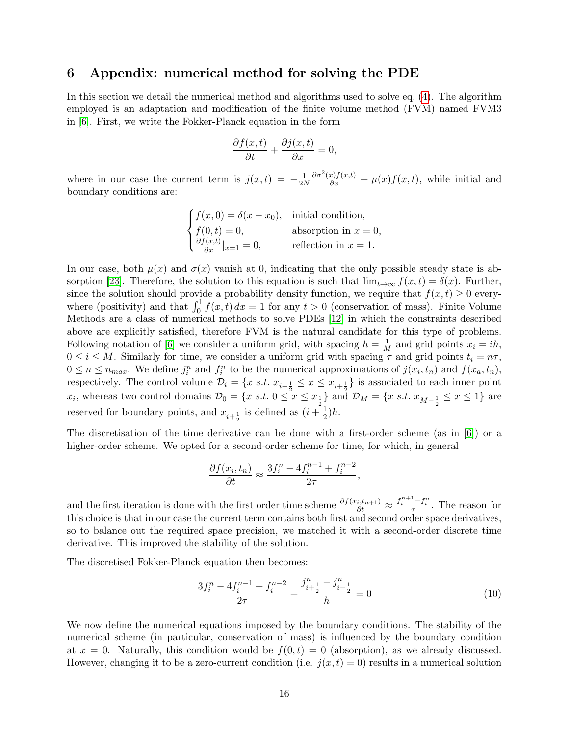#### <span id="page-16-0"></span>6 Appendix: numerical method for solving the PDE

In this section we detail the numerical method and algorithms used to solve eq. [\(4\)](#page-4-1). The algorithm employed is an adaptation and modification of the finite volume method (FVM) named FVM3 in [\[6\]](#page-19-7). First, we write the Fokker-Planck equation in the form

$$
\frac{\partial f(x,t)}{\partial t} + \frac{\partial j(x,t)}{\partial x} = 0,
$$

where in our case the current term is  $j(x,t) = -\frac{1}{2t}$ 2N  $\frac{\partial \sigma^2(x) f(x,t)}{\partial x} + \mu(x) f(x,t)$ , while initial and boundary conditions are:

> $\sqrt{ }$  $\int$  $\mathcal{L}$  $f(x, 0) = \delta(x - x_0)$ , initial condition,  $f(0, t) = 0,$  absorption in  $x = 0,$  $\frac{\partial f(x,t)}{\partial x}|_{x=1} = 0,$  reflection in  $x = 1.$

In our case, both  $\mu(x)$  and  $\sigma(x)$  vanish at 0, indicating that the only possible steady state is ab-sorption [\[23\]](#page-20-11). Therefore, the solution to this equation is such that  $\lim_{t\to\infty} f(x,t) = \delta(x)$ . Further, since the solution should provide a probability density function, we require that  $f(x, t) \geq 0$  everywhere (positivity) and that  $\int_0^1 f(x,t) dx = 1$  for any  $t > 0$  (conservation of mass). Finite Volume Methods are a class of numerical methods to solve PDEs [\[12\]](#page-19-15) in which the constraints described above are explicitly satisfied, therefore FVM is the natural candidate for this type of problems. Following notation of [\[6\]](#page-19-7) we consider a uniform grid, with spacing  $h = \frac{1}{M}$  and grid points  $x_i = ih$ ,  $0 \leq i \leq M$ . Similarly for time, we consider a uniform grid with spacing  $\tau$  and grid points  $t_i = n\tau$ ,  $0 \le n \le n_{max}$ . We define  $j_i^n$  and  $f_i^n$  to be the numerical approximations of  $j(x_i, t_n)$  and  $f(x_a, t_n)$ , respectively. The control volume  $\mathcal{D}_i = \{x \text{ s.t. } x_{i-\frac{1}{2}} \leq x \leq x_{i+\frac{1}{2}}\}$  is associated to each inner point  $x_i$ , whereas two control domains  $\mathcal{D}_0 = \{x \text{ s.t. } 0 \le x \le x_{\frac{1}{2}}\}$  and  $\mathcal{D}_M = \{x \text{ s.t. } x_{M-\frac{1}{2}} \le x \le 1\}$  are reserved for boundary points, and  $x_{i+\frac{1}{2}}$  is defined as  $(i+\frac{1}{2})$  $(\frac{1}{2})h$ .

The discretisation of the time derivative can be done with a first-order scheme (as in [\[6\]](#page-19-7)) or a higher-order scheme. We opted for a second-order scheme for time, for which, in general

$$
\frac{\partial f(x_i, t_n)}{\partial t} \approx \frac{3f_i^n - 4f_i^{n-1} + f_i^{n-2}}{2\tau},
$$

and the first iteration is done with the first order time scheme  $\frac{\partial f(x_i, t_{n+1})}{\partial t} \approx \frac{f_i^{n+1} - f_i^n}{\tau}$ . The reason for this choice is that in our case the current term contains both first and second order space derivatives, so to balance out the required space precision, we matched it with a second-order discrete time derivative. This improved the stability of the solution.

The discretised Fokker-Planck equation then becomes:

$$
\frac{3f_i^n - 4f_i^{n-1} + f_i^{n-2}}{2\tau} + \frac{j_{i+\frac{1}{2}}^n - j_{i-\frac{1}{2}}^n}{h} = 0\tag{10}
$$

We now define the numerical equations imposed by the boundary conditions. The stability of the numerical scheme (in particular, conservation of mass) is influenced by the boundary condition at  $x = 0$ . Naturally, this condition would be  $f(0,t) = 0$  (absorption), as we already discussed. However, changing it to be a zero-current condition (i.e.  $j(x,t) = 0$ ) results in a numerical solution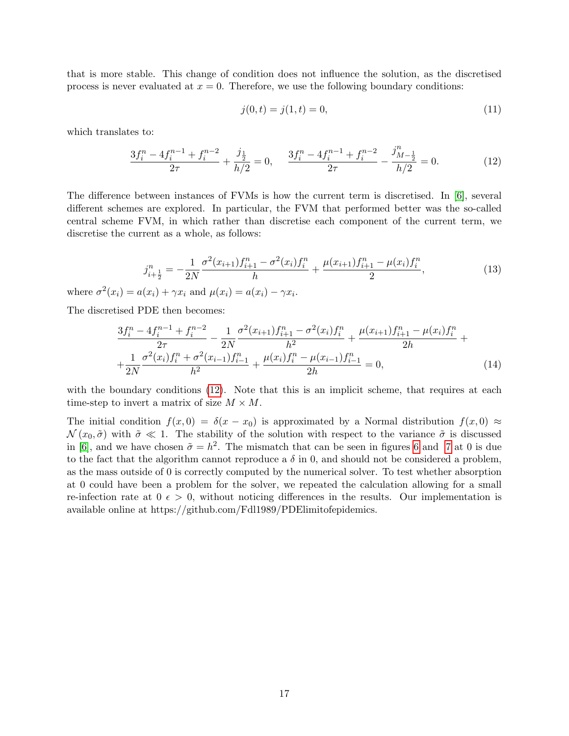that is more stable. This change of condition does not influence the solution, as the discretised process is never evaluated at  $x = 0$ . Therefore, we use the following boundary conditions:

$$
j(0,t) = j(1,t) = 0,\t(11)
$$

which translates to:

<span id="page-17-0"></span>
$$
\frac{3f_i^n - 4f_i^{n-1} + f_i^{n-2}}{2\tau} + \frac{j\frac{1}{2}}{h/2} = 0, \quad \frac{3f_i^n - 4f_i^{n-1} + f_i^{n-2}}{2\tau} - \frac{j_{M-\frac{1}{2}}^n}{h/2} = 0.
$$
 (12)

The difference between instances of FVMs is how the current term is discretised. In [\[6\]](#page-19-7), several different schemes are explored. In particular, the FVM that performed better was the so-called central scheme FVM, in which rather than discretise each component of the current term, we discretise the current as a whole, as follows:

$$
j_{i+\frac{1}{2}}^n = -\frac{1}{2N} \frac{\sigma^2(x_{i+1}) f_{i+1}^n - \sigma^2(x_i) f_i^n}{h} + \frac{\mu(x_{i+1}) f_{i+1}^n - \mu(x_i) f_i^n}{2},
$$
\n(13)

where  $\sigma^2(x_i) = a(x_i) + \gamma x_i$  and  $\mu(x_i) = a(x_i) - \gamma x_i$ .

The discretised PDE then becomes:

$$
\frac{3f_i^n - 4f_i^{n-1} + f_i^{n-2}}{2\tau} - \frac{1}{2N} \frac{\sigma^2 (x_{i+1})f_{i+1}^n - \sigma^2 (x_i)f_i^n}{h^2} + \frac{\mu(x_{i+1})f_{i+1}^n - \mu(x_i)f_i^n}{2h} + \frac{1}{2N} \frac{\sigma^2 (x_i)f_i^n + \sigma^2 (x_{i-1})f_{i-1}^n}{h^2} + \frac{\mu(x_i)f_i^n - \mu(x_{i-1})f_{i-1}^n}{2h} = 0,
$$
\n(14)

with the boundary conditions [\(12\)](#page-17-0). Note that this is an implicit scheme, that requires at each time-step to invert a matrix of size  $M \times M$ .

The initial condition  $f(x, 0) = \delta(x - x_0)$  is approximated by a Normal distribution  $f(x, 0) \approx$  $\mathcal{N}(x_0, \tilde{\sigma})$  with  $\tilde{\sigma} \ll 1$ . The stability of the solution with respect to the variance  $\tilde{\sigma}$  is discussed in [\[6\]](#page-19-7), and we have chosen  $\tilde{\sigma} = h^2$ . The mismatch that can be seen in figures [6](#page-10-0) and [7](#page-10-1) at 0 is due to the fact that the algorithm cannot reproduce a  $\delta$  in 0, and should not be considered a problem, as the mass outside of 0 is correctly computed by the numerical solver. To test whether absorption at 0 could have been a problem for the solver, we repeated the calculation allowing for a small re-infection rate at  $0 \epsilon > 0$ , without noticing differences in the results. Our implementation is available online at https://github.com/Fdl1989/PDElimitofepidemics.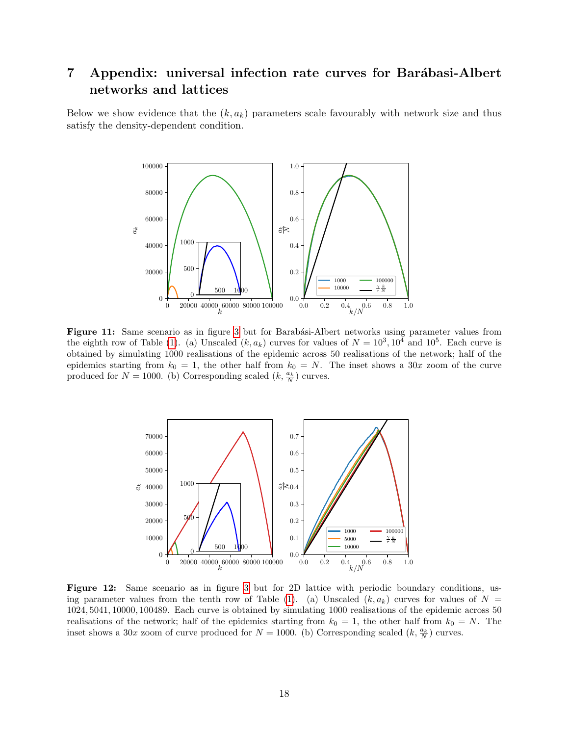# <span id="page-18-2"></span>7 Appendix: universal infection rate curves for Barábasi-Albert networks and lattices

<span id="page-18-0"></span>Below we show evidence that the  $(k, a_k)$  parameters scale favourably with network size and thus satisfy the density-dependent condition.



Figure 11: Same scenario as in figure [3](#page-7-0) but for Barabási-Albert networks using parameter values from the eighth row of Table [\(1\)](#page-5-1). (a) Unscaled  $(k, a_k)$  curves for values of  $N = 10^3, 10^4$  and  $10^5$ . Each curve is obtained by simulating 1000 realisations of the epidemic across 50 realisations of the network; half of the epidemics starting from  $k_0 = 1$ , the other half from  $k_0 = N$ . The inset shows a 30x zoom of the curve produced for  $N = 1000$ . (b) Corresponding scaled  $(k, \frac{a_k}{N})$  curves.

<span id="page-18-1"></span>

Figure 12: Same scenario as in figure [3](#page-7-0) but for 2D lattice with periodic boundary conditions, us-ing parameter values from the tenth row of Table [\(1\)](#page-5-1). (a) Unscaled  $(k, a_k)$  curves for values of  $N =$ , 5041, 10000, 100489. Each curve is obtained by simulating 1000 realisations of the epidemic across 50 realisations of the network; half of the epidemics starting from  $k_0 = 1$ , the other half from  $k_0 = N$ . The inset shows a 30x zoom of curve produced for  $N = 1000$ . (b) Corresponding scaled  $(k, \frac{a_k}{N})$  curves.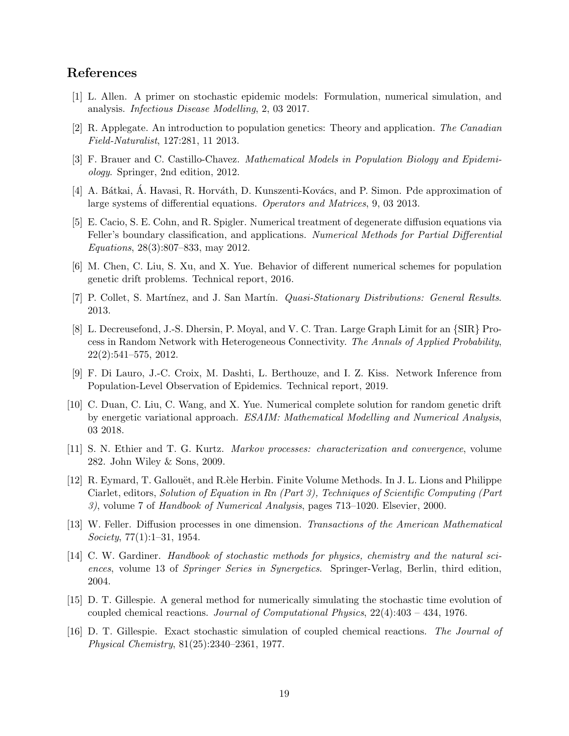# References

- <span id="page-19-12"></span>[1] L. Allen. A primer on stochastic epidemic models: Formulation, numerical simulation, and analysis. Infectious Disease Modelling, 2, 03 2017.
- <span id="page-19-8"></span>[2] R. Applegate. An introduction to population genetics: Theory and application. The Canadian Field-Naturalist, 127:281, 11 2013.
- <span id="page-19-0"></span>[3] F. Brauer and C. Castillo-Chavez. Mathematical Models in Population Biology and Epidemiology. Springer, 2nd edition, 2012.
- <span id="page-19-5"></span>[4] A. Bátkai, A. Havasi, R. Horváth, D. Kunszenti-Kovács, and P. Simon. Pde approximation of large systems of differential equations. Operators and Matrices, 9, 03 2013.
- <span id="page-19-9"></span>[5] E. Cacio, S. E. Cohn, and R. Spigler. Numerical treatment of degenerate diffusion equations via Feller's boundary classification, and applications. Numerical Methods for Partial Differential Equations, 28(3):807–833, may 2012.
- <span id="page-19-7"></span>[6] M. Chen, C. Liu, S. Xu, and X. Yue. Behavior of different numerical schemes for population genetic drift problems. Technical report, 2016.
- <span id="page-19-11"></span>[7] P. Collet, S. Martínez, and J. San Martín. *Quasi-Stationary Distributions: General Results.* 2013.
- <span id="page-19-1"></span>[8] L. Decreusefond, J.-S. Dhersin, P. Moyal, and V. C. Tran. Large Graph Limit for an {SIR} Process in Random Network with Heterogeneous Connectivity. The Annals of Applied Probability, 22(2):541–575, 2012.
- <span id="page-19-2"></span>[9] F. Di Lauro, J.-C. Croix, M. Dashti, L. Berthouze, and I. Z. Kiss. Network Inference from Population-Level Observation of Epidemics. Technical report, 2019.
- <span id="page-19-6"></span>[10] C. Duan, C. Liu, C. Wang, and X. Yue. Numerical complete solution for random genetic drift by energetic variational approach. ESAIM: Mathematical Modelling and Numerical Analysis, 03 2018.
- <span id="page-19-4"></span>[11] S. N. Ethier and T. G. Kurtz. Markov processes: characterization and convergence, volume 282. John Wiley & Sons, 2009.
- <span id="page-19-15"></span>[12] R. Eymard, T. Gallouët, and R.èle Herbin. Finite Volume Methods. In J. L. Lions and Philippe Ciarlet, editors, Solution of Equation in Rn (Part 3), Techniques of Scientific Computing (Part 3), volume 7 of Handbook of Numerical Analysis, pages 713–1020. Elsevier, 2000.
- <span id="page-19-10"></span>[13] W. Feller. Diffusion processes in one dimension. Transactions of the American Mathematical Society, 77(1):1–31, 1954.
- <span id="page-19-3"></span>[14] C. W. Gardiner. *Handbook of stochastic methods for physics, chemistry and the natural sci*ences, volume 13 of Springer Series in Synergetics. Springer-Verlag, Berlin, third edition, 2004.
- <span id="page-19-13"></span>[15] D. T. Gillespie. A general method for numerically simulating the stochastic time evolution of coupled chemical reactions. Journal of Computational Physics, 22(4):403 – 434, 1976.
- <span id="page-19-14"></span>[16] D. T. Gillespie. Exact stochastic simulation of coupled chemical reactions. The Journal of Physical Chemistry, 81(25):2340–2361, 1977.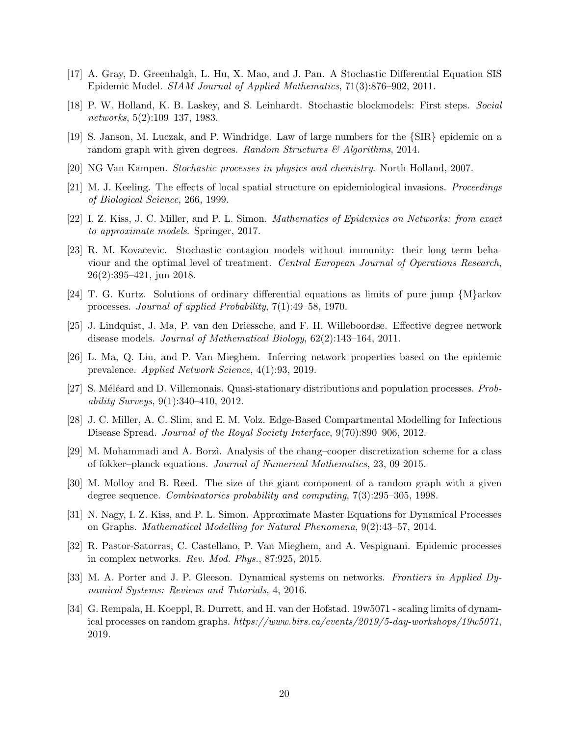- <span id="page-20-13"></span>[17] A. Gray, D. Greenhalgh, L. Hu, X. Mao, and J. Pan. A Stochastic Differential Equation SIS Epidemic Model. SIAM Journal of Applied Mathematics, 71(3):876–902, 2011.
- <span id="page-20-16"></span>[18] P. W. Holland, K. B. Laskey, and S. Leinhardt. Stochastic blockmodels: First steps. Social networks, 5(2):109–137, 1983.
- <span id="page-20-6"></span>[19] S. Janson, M. Luczak, and P. Windridge. Law of large numbers for the {SIR} epidemic on a random graph with given degrees. Random Structures  $\mathcal{B}$  Algorithms, 2014.
- <span id="page-20-8"></span><span id="page-20-3"></span>[20] NG Van Kampen. Stochastic processes in physics and chemistry. North Holland, 2007.
- [21] M. J. Keeling. The effects of local spatial structure on epidemiological invasions. Proceedings of Biological Science, 266, 1999.
- <span id="page-20-0"></span>[22] I. Z. Kiss, J. C. Miller, and P. L. Simon. Mathematics of Epidemics on Networks: from exact to approximate models. Springer, 2017.
- <span id="page-20-11"></span>[23] R. M. Kovacevic. Stochastic contagion models without immunity: their long term behaviour and the optimal level of treatment. Central European Journal of Operations Research, 26(2):395–421, jun 2018.
- <span id="page-20-9"></span>[24] T. G. Kurtz. Solutions of ordinary differential equations as limits of pure jump {M}arkov processes. Journal of applied Probability, 7(1):49–58, 1970.
- <span id="page-20-4"></span>[25] J. Lindquist, J. Ma, P. van den Driessche, and F. H. Willeboordse. Effective degree network disease models. Journal of Mathematical Biology, 62(2):143–164, 2011.
- <span id="page-20-17"></span>[26] L. Ma, Q. Liu, and P. Van Mieghem. Inferring network properties based on the epidemic prevalence. Applied Network Science, 4(1):93, 2019.
- <span id="page-20-12"></span>[27] S. Méléard and D. Villemonais. Quasi-stationary distributions and population processes. Probability Surveys, 9(1):340–410, 2012.
- <span id="page-20-5"></span>[28] J. C. Miller, A. C. Slim, and E. M. Volz. Edge-Based Compartmental Modelling for Infectious Disease Spread. Journal of the Royal Society Interface, 9(70):890–906, 2012.
- <span id="page-20-14"></span>[29] M. Mohammadi and A. Borzì. Analysis of the chang–cooper discretization scheme for a class of fokker–planck equations. Journal of Numerical Mathematics, 23, 09 2015.
- <span id="page-20-15"></span>[30] M. Molloy and B. Reed. The size of the giant component of a random graph with a given degree sequence. Combinatorics probability and computing, 7(3):295–305, 1998.
- <span id="page-20-10"></span>[31] N. Nagy, I. Z. Kiss, and P. L. Simon. Approximate Master Equations for Dynamical Processes on Graphs. Mathematical Modelling for Natural Phenomena, 9(2):43–57, 2014.
- <span id="page-20-2"></span>[32] R. Pastor-Satorras, C. Castellano, P. Van Mieghem, and A. Vespignani. Epidemic processes in complex networks. Rev. Mod. Phys., 87:925, 2015.
- <span id="page-20-1"></span>[33] M. A. Porter and J. P. Gleeson. Dynamical systems on networks. Frontiers in Applied Dynamical Systems: Reviews and Tutorials, 4, 2016.
- <span id="page-20-7"></span>[34] G. Rempala, H. Koeppl, R. Durrett, and H. van der Hofstad. 19w5071 - scaling limits of dynamical processes on random graphs. https://www.birs.ca/events/2019/5-day-workshops/19w5071, 2019.